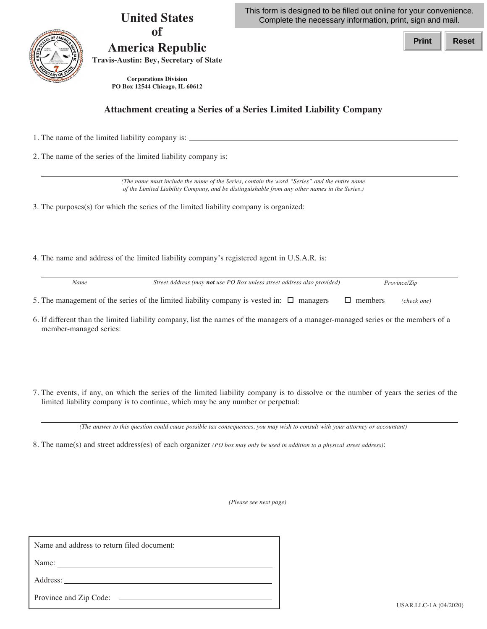| <b>United States</b><br><b>of</b><br><b>America Republic</b><br><b>Travis-Austin: Bey, Secretary of State</b><br><b>Corporations Division</b><br>PO Box 12544 Chicago, IL 60612                                                                                                                                                                                                        | This form is designed to be filled out online for your convenience.<br>Complete the necessary information, print, sign and mail.    |  |
|----------------------------------------------------------------------------------------------------------------------------------------------------------------------------------------------------------------------------------------------------------------------------------------------------------------------------------------------------------------------------------------|-------------------------------------------------------------------------------------------------------------------------------------|--|
|                                                                                                                                                                                                                                                                                                                                                                                        | <b>Print</b><br><b>Reset</b>                                                                                                        |  |
| <b>Attachment creating a Series of a Series Limited Liability Company</b>                                                                                                                                                                                                                                                                                                              |                                                                                                                                     |  |
| 1. The name of the limited liability company is: $\equiv$                                                                                                                                                                                                                                                                                                                              |                                                                                                                                     |  |
| 2. The name of the series of the limited liability company is:                                                                                                                                                                                                                                                                                                                         |                                                                                                                                     |  |
| (The name must include the name of the Series, contain the word "Series" and the entire name<br>of the Limited Liability Company, and be distinguishable from any other names in the Series.)<br>3. The purposes(s) for which the series of the limited liability company is organized:<br>4. The name and address of the limited liability company's registered agent in U.S.A.R. is: |                                                                                                                                     |  |
| Name                                                                                                                                                                                                                                                                                                                                                                                   | Street Address (may not use PO Box unless street address also provided)<br>Province/Zip                                             |  |
| 5. The management of the series of the limited liability company is vested in: $\Box$ managers                                                                                                                                                                                                                                                                                         | $\Box$ members<br>(check one)                                                                                                       |  |
| member-managed series:                                                                                                                                                                                                                                                                                                                                                                 | 6. If different than the limited liability company, list the names of the managers of a manager-managed series or the members of a  |  |
| limited liability company is to continue, which may be any number or perpetual:                                                                                                                                                                                                                                                                                                        | 7. The events, if any, on which the series of the limited liability company is to dissolve or the number of years the series of the |  |
|                                                                                                                                                                                                                                                                                                                                                                                        | (The answer to this question could cause possible tax consequences, you may wish to consult with your attorney or accountant)       |  |
| 8. The name(s) and street address(es) of each organizer (PO box may only be used in addition to a physical street address):                                                                                                                                                                                                                                                            |                                                                                                                                     |  |

*(Please see next page)* 

Name and address to return filed document:

Name:

Address:

Province and Zip Code: